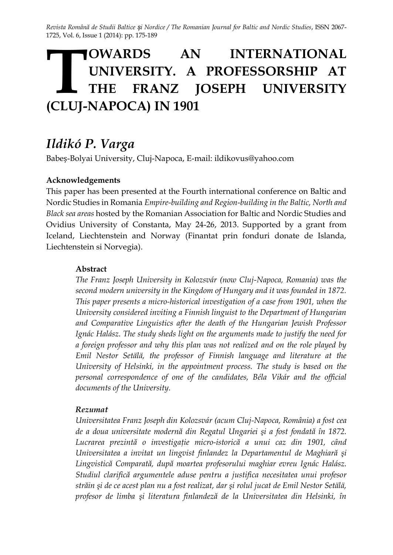*Revista Română de Studii Baltice și Nordice / The Romanian Journal for Baltic and Nordic Studies*, ISSN 2067- 1725, Vol. 6, Issue 1 (2014): pp. 175-189

# **OWARDS AN INTERNATIONAL UNIVERSITY. A PROFESSORSHIP AT THE FRANZ JOSEPH UNIVERSITY (CLUJ-NAPOCA) IN 1901**

## *Ildikó P. Varga*

Babeș-Bolyai University, Cluj-Napoca, E-mail: ildikovus@yahoo.com

#### **Acknowledgements**

This paper has been presented at the Fourth international conference on Baltic and Nordic Studies in Romania *Empire-building and Region-building in the Baltic, North and Black sea areas* hosted by the Romanian Association for Baltic and Nordic Studies and Ovidius University of Constanta, May 24-26, 2013. Supported by a grant from Iceland, Liechtenstein and Norway (Finantat prin fonduri donate de Islanda, Liechtenstein si Norvegia).

#### **Abstract**

*The Franz Joseph University in Kolozsvár (now Cluj-Napoca, Romania) was the second modern university in the Kingdom of Hungary and it was founded in 1872. This paper presents a micro-historical investigation of a case from 1901, when the University considered inviting a Finnish linguist to the Department of Hungarian and Comparative Linguistics after the death of the Hungarian Jewish Professor Ignác Halász. The study sheds light on the arguments made to justify the need for a foreign professor and why this plan was not realized and on the role played by Emil Nestor Setälä, the professor of Finnish language and literature at the University of Helsinki, in the appointment process. The study is based on the personal correspondence of one of the candidates, Béla Vikár and the official documents of the University.* 

#### *Rezumat*

*Universitatea Franz Joseph din Kolozsvár (acum Cluj-Napoca, România) a fost cea de a doua universitate modernă din Regatul Ungariei şi a fost fondată în 1872. Lucrarea prezintă o investigaţie micro-istorică a unui caz din 1901, când Universitatea a invitat un lingvist finlandez la Departamentul de Maghiară şi Lingvistică Comparată, după moartea profesorului maghiar evreu Ignác Halász. Studiul clarifică argumentele aduse pentru a justifica necesitatea unui profesor străin şi de ce acest plan nu a fost realizat, dar şi rolul jucat de Emil Nestor Setälä, profesor de limba şi literatura finlandeză de la Universitatea din Helsinki, în*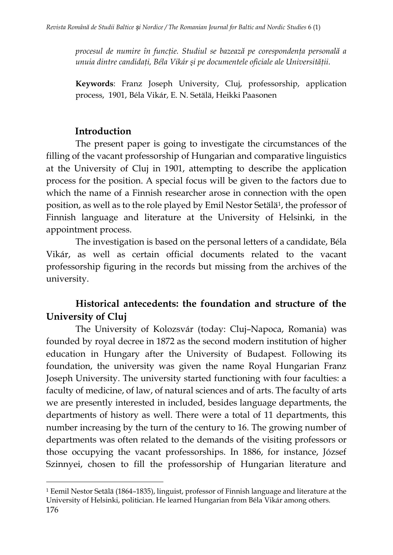*procesul de numire în funcţie. Studiul se bazează pe corespondenţa personală a unuia dintre candidaţi, Béla Vikár şi pe documentele oficiale ale Universităţii.*

**Keywords**: Franz Joseph University, Cluj, professorship, application process, 1901, Béla Vikár, E. N. Setälä, Heikki Paasonen

#### **Introduction**

 $\overline{a}$ 

The present paper is going to investigate the circumstances of the filling of the vacant professorship of Hungarian and comparative linguistics at the University of Cluj in 1901, attempting to describe the application process for the position. A special focus will be given to the factors due to which the name of a Finnish researcher arose in connection with the open position, as well as to the role played by Emil Nestor Setälä<sup>1</sup>, the professor of Finnish language and literature at the University of Helsinki, in the appointment process.

The investigation is based on the personal letters of a candidate, Béla Vikár, as well as certain official documents related to the vacant professorship figuring in the records but missing from the archives of the university.

## **Historical antecedents: the foundation and structure of the University of Cluj**

The University of Kolozsvár (today: Cluj–Napoca, Romania) was founded by royal decree in 1872 as the second modern institution of higher education in Hungary after the University of Budapest. Following its foundation, the university was given the name Royal Hungarian Franz Joseph University. The university started functioning with four faculties: a faculty of medicine, of law, of natural sciences and of arts. The faculty of arts we are presently interested in included, besides language departments, the departments of history as well. There were a total of 11 departments, this number increasing by the turn of the century to 16. The growing number of departments was often related to the demands of the visiting professors or those occupying the vacant professorships. In 1886, for instance, József Szinnyei, chosen to fill the professorship of Hungarian literature and

<sup>176</sup> <sup>1</sup> Eemil Nestor Setälä (1864–1835), linguist, professor of Finnish language and literature at the University of Helsinki, politician. He learned Hungarian from Béla Vikár among others.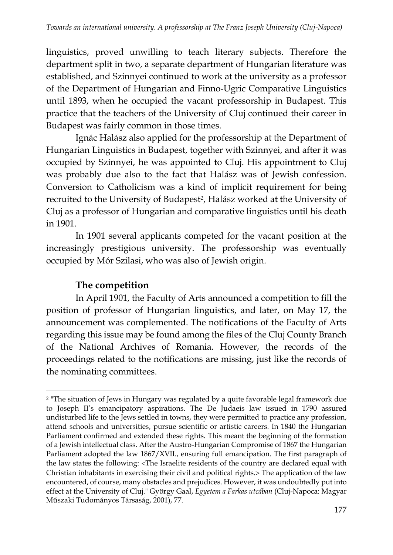linguistics, proved unwilling to teach literary subjects. Therefore the department split in two, a separate department of Hungarian literature was established, and Szinnyei continued to work at the university as a professor of the Department of Hungarian and Finno-Ugric Comparative Linguistics until 1893, when he occupied the vacant professorship in Budapest. This practice that the teachers of the University of Cluj continued their career in Budapest was fairly common in those times.

Ignác Halász also applied for the professorship at the Department of Hungarian Linguistics in Budapest, together with Szinnyei, and after it was occupied by Szinnyei, he was appointed to Cluj. His appointment to Cluj was probably due also to the fact that Halász was of Jewish confession. Conversion to Catholicism was a kind of implicit requirement for being recruited to the University of Budapest<sup>2</sup>, Halász worked at the University of Cluj as a professor of Hungarian and comparative linguistics until his death in 1901.

In 1901 several applicants competed for the vacant position at the increasingly prestigious university. The professorship was eventually occupied by Mór Szilasi, who was also of Jewish origin.

#### **The competition**

l

In April 1901, the Faculty of Arts announced a competition to fill the position of professor of Hungarian linguistics, and later, on May 17, the announcement was complemented. The notifications of the Faculty of Arts regarding this issue may be found among the files of the Cluj County Branch of the National Archives of Romania. However, the records of the proceedings related to the notifications are missing, just like the records of the nominating committees.

<sup>2</sup> "The situation of Jews in Hungary was regulated by a quite favorable legal framework due to Joseph II's emancipatory aspirations. The De Judaeis law issued in 1790 assured undisturbed life to the Jews settled in towns, they were permitted to practice any profession, attend schools and universities, pursue scientific or artistic careers. In 1840 the Hungarian Parliament confirmed and extended these rights. This meant the beginning of the formation of a Jewish intellectual class. After the Austro-Hungarian Compromise of 1867 the Hungarian Parliament adopted the law 1867/XVII., ensuring full emancipation. The first paragraph of the law states the following: The Israelite residents of the country are declared equal with Christian inhabitants in exercising their civil and political rights. The application of the law encountered, of course, many obstacles and prejudices. However, it was undoubtedly put into effect at the University of Cluj." György Gaal, *Egyetem a Farkas utcában* (Cluj-Napoca: Magyar Műszaki Tudományos Társaság, 2001), 77.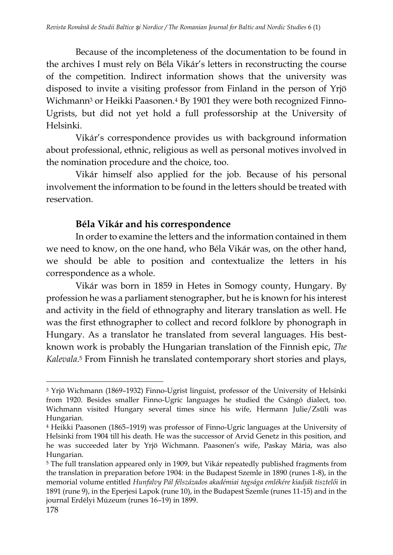Because of the incompleteness of the documentation to be found in the archives I must rely on Béla Vikár's letters in reconstructing the course of the competition. Indirect information shows that the university was disposed to invite a visiting professor from Finland in the person of Yrjö Wichmann<sup>3</sup> or Heikki Paasonen.<sup>4</sup> By 1901 they were both recognized Finno-Ugrists, but did not yet hold a full professorship at the University of Helsinki.

Vikár's correspondence provides us with background information about professional, ethnic, religious as well as personal motives involved in the nomination procedure and the choice, too.

Vikár himself also applied for the job. Because of his personal involvement the information to be found in the letters should be treated with reservation.

#### **Béla Vikár and his correspondence**

In order to examine the letters and the information contained in them we need to know, on the one hand, who Béla Vikár was, on the other hand, we should be able to position and contextualize the letters in his correspondence as a whole.

Vikár was born in 1859 in Hetes in Somogy county, Hungary. By profession he was a parliament stenographer, but he is known for his interest and activity in the field of ethnography and literary translation as well. He was the first ethnographer to collect and record folklore by phonograph in Hungary. As a translator he translated from several languages. His bestknown work is probably the Hungarian translation of the Finnish epic, *The Kalevala*. <sup>5</sup> From Finnish he translated contemporary short stories and plays,

l <sup>3</sup> Yrjö Wichmann (1869–1932) Finno-Ugrist linguist, professor of the University of Helsinki from 1920. Besides smaller Finno-Ugric languages he studied the Csángó dialect, too. Wichmann visited Hungary several times since his wife, Hermann Julie/Zsüli was Hungarian.

<sup>4</sup> Heikki Paasonen (1865–1919) was professor of Finno-Ugric languages at the University of Helsinki from 1904 till his death. He was the successor of Arvid Genetz in this position, and he was succeeded later by Yrjö Wichmann. Paasonen's wife, Paskay Mária, was also Hungarian.

<sup>5</sup> The full translation appeared only in 1909, but Vikár repeatedly published fragments from the translation in preparation before 1904: in the Budapest Szemle in 1890 (runes 1-8), in the memorial volume entitled *Hunfalvy Pál félszázados akadémiai tagsága emlékére kiadják tisztelői* in 1891 (rune 9), in the Eperjesi Lapok (rune 10), in the Budapest Szemle (runes 11-15) and in the journal Erdélyi Múzeum (runes 16–19) in 1899.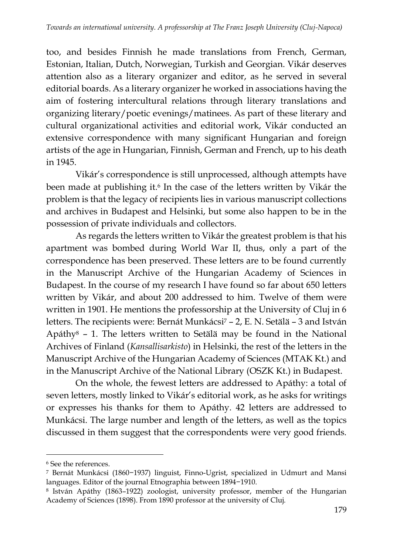too, and besides Finnish he made translations from French, German, Estonian, Italian, Dutch, Norwegian, Turkish and Georgian. Vikár deserves attention also as a literary organizer and editor, as he served in several editorial boards. As a literary organizer he worked in associations having the aim of fostering intercultural relations through literary translations and organizing literary/poetic evenings/matinees. As part of these literary and cultural organizational activities and editorial work, Vikár conducted an extensive correspondence with many significant Hungarian and foreign artists of the age in Hungarian, Finnish, German and French, up to his death in 1945.

Vikár's correspondence is still unprocessed, although attempts have been made at publishing it.<sup>6</sup> In the case of the letters written by Vikár the problem is that the legacy of recipients lies in various manuscript collections and archives in Budapest and Helsinki, but some also happen to be in the possession of private individuals and collectors.

As regards the letters written to Vikár the greatest problem is that his apartment was bombed during World War II, thus, only a part of the correspondence has been preserved. These letters are to be found currently in the Manuscript Archive of the Hungarian Academy of Sciences in Budapest. In the course of my research I have found so far about 650 letters written by Vikár, and about 200 addressed to him. Twelve of them were written in 1901. He mentions the professorship at the University of Cluj in 6 letters. The recipients were: Bernát Munkácsi<sup>7</sup> - 2, E. N. Setälä - 3 and István Apáthy<sup>8</sup> – 1. The letters written to Setälä may be found in the National Archives of Finland (*Kansallisarkisto*) in Helsinki, the rest of the letters in the Manuscript Archive of the Hungarian Academy of Sciences (MTAK Kt.) and in the Manuscript Archive of the National Library (OSZK Kt.) in Budapest.

On the whole, the fewest letters are addressed to Apáthy: a total of seven letters, mostly linked to Vikár's editorial work, as he asks for writings or expresses his thanks for them to Apáthy. 42 letters are addressed to Munkácsi. The large number and length of the letters, as well as the topics discussed in them suggest that the correspondents were very good friends.

l

<sup>6</sup> See the references.

<sup>7</sup> Bernát Munkácsi (1860−1937) linguist, Finno-Ugrist, specialized in Udmurt and Mansi languages. Editor of the journal Etnographia between 1894−1910.

<sup>8</sup> István Apáthy (1863–1922) zoologist, university professor, member of the Hungarian Academy of Sciences (1898). From 1890 professor at the university of Cluj.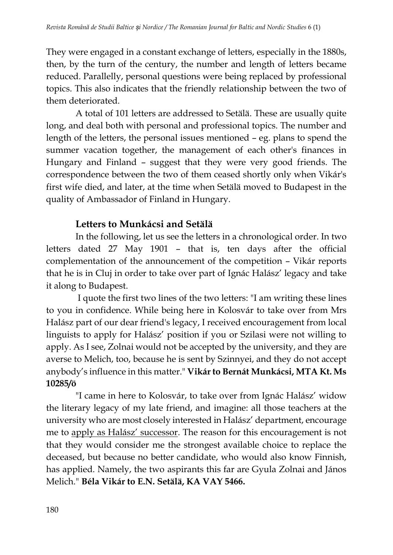They were engaged in a constant exchange of letters, especially in the 1880s, then, by the turn of the century, the number and length of letters became reduced. Parallelly, personal questions were being replaced by professional topics. This also indicates that the friendly relationship between the two of them deteriorated.

A total of 101 letters are addressed to Setälä. These are usually quite long, and deal both with personal and professional topics. The number and length of the letters, the personal issues mentioned – eg. plans to spend the summer vacation together, the management of each other's finances in Hungary and Finland – suggest that they were very good friends. The correspondence between the two of them ceased shortly only when Vikár's first wife died, and later, at the time when Setälä moved to Budapest in the quality of Ambassador of Finland in Hungary.

#### **Letters to Munkácsi and Setälä**

In the following, let us see the letters in a chronological order. In two letters dated 27 May 1901 – that is, ten days after the official complementation of the announcement of the competition – Vikár reports that he is in Cluj in order to take over part of Ignác Halász' legacy and take it along to Budapest.

I quote the first two lines of the two letters: "I am writing these lines to you in confidence. While being here in Kolosvár to take over from Mrs Halász part of our dear friend's legacy, I received encouragement from local linguists to apply for Halász' position if you or Szilasi were not willing to apply. As I see, Zolnai would not be accepted by the university, and they are averse to Melich, too, because he is sent by Szinnyei, and they do not accept anybody's influence in this matter." **Vikár to Bernát Munkácsi, MTA Kt. Ms 10285/ö**

"I came in here to Kolosvár, to take over from Ignác Halász' widow the literary legacy of my late friend, and imagine: all those teachers at the university who are most closely interested in Halász' department, encourage me to apply as Halász' successor. The reason for this encouragement is not that they would consider me the strongest available choice to replace the deceased, but because no better candidate, who would also know Finnish, has applied. Namely, the two aspirants this far are Gyula Zolnai and János Melich." **Béla Vikár to E.N. Setälä, KA VAY 5466.**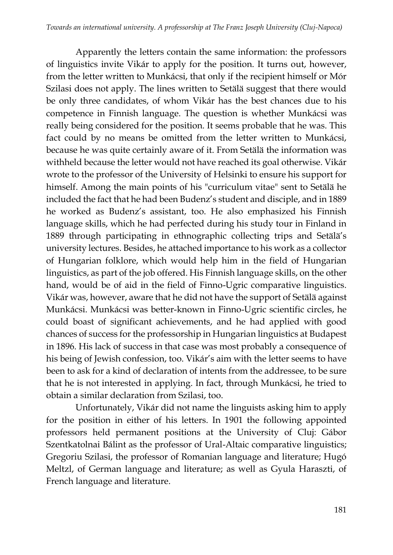Apparently the letters contain the same information: the professors of linguistics invite Vikár to apply for the position. It turns out, however, from the letter written to Munkácsi, that only if the recipient himself or Mór Szilasi does not apply. The lines written to Setälä suggest that there would be only three candidates, of whom Vikár has the best chances due to his competence in Finnish language. The question is whether Munkácsi was really being considered for the position. It seems probable that he was. This fact could by no means be omitted from the letter written to Munkácsi, because he was quite certainly aware of it. From Setälä the information was withheld because the letter would not have reached its goal otherwise. Vikár wrote to the professor of the University of Helsinki to ensure his support for himself. Among the main points of his "curriculum vitae" sent to Setälä he included the fact that he had been Budenz's student and disciple, and in 1889 he worked as Budenz's assistant, too. He also emphasized his Finnish language skills, which he had perfected during his study tour in Finland in 1889 through participating in ethnographic collecting trips and Setälä's university lectures. Besides, he attached importance to his work as a collector of Hungarian folklore, which would help him in the field of Hungarian linguistics, as part of the job offered. His Finnish language skills, on the other hand, would be of aid in the field of Finno-Ugric comparative linguistics. Vikár was, however, aware that he did not have the support of Setälä against Munkácsi. Munkácsi was better-known in Finno-Ugric scientific circles, he could boast of significant achievements, and he had applied with good chances of success for the professorship in Hungarian linguistics at Budapest in 1896. His lack of success in that case was most probably a consequence of his being of Jewish confession, too. Vikár's aim with the letter seems to have been to ask for a kind of declaration of intents from the addressee, to be sure that he is not interested in applying. In fact, through Munkácsi, he tried to obtain a similar declaration from Szilasi, too.

Unfortunately, Vikár did not name the linguists asking him to apply for the position in either of his letters. In 1901 the following appointed professors held permanent positions at the University of Cluj: Gábor Szentkatolnai Bálint as the professor of Ural-Altaic comparative linguistics; Gregoriu Szilasi, the professor of Romanian language and literature; Hugó Meltzl, of German language and literature; as well as Gyula Haraszti, of French language and literature.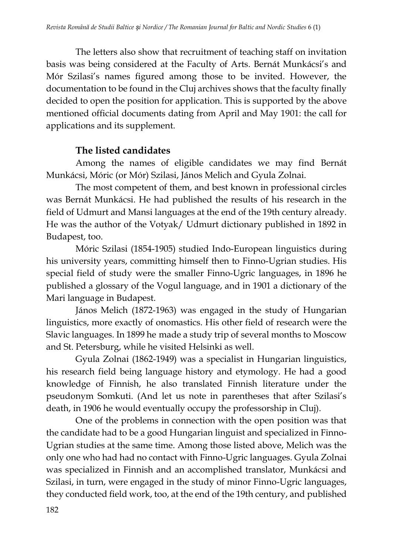The letters also show that recruitment of teaching staff on invitation basis was being considered at the Faculty of Arts. Bernát Munkácsi's and Mór Szilasi's names figured among those to be invited. However, the documentation to be found in the Cluj archives shows that the faculty finally decided to open the position for application. This is supported by the above mentioned official documents dating from April and May 1901: the call for applications and its supplement.

#### **The listed candidates**

Among the names of eligible candidates we may find Bernát Munkácsi, Móric (or Mór) Szilasi, János Melich and Gyula Zolnai.

The most competent of them, and best known in professional circles was Bernát Munkácsi. He had published the results of his research in the field of Udmurt and Mansi languages at the end of the 19th century already. He was the author of the Votyak/ Udmurt dictionary published in 1892 in Budapest, too.

Móric Szilasi (1854-1905) studied Indo-European linguistics during his university years, committing himself then to Finno-Ugrian studies. His special field of study were the smaller Finno-Ugric languages, in 1896 he published a glossary of the Vogul language, and in 1901 a dictionary of the Mari language in Budapest.

János Melich (1872-1963) was engaged in the study of Hungarian linguistics, more exactly of onomastics. His other field of research were the Slavic languages. In 1899 he made a study trip of several months to Moscow and St. Petersburg, while he visited Helsinki as well.

Gyula Zolnai (1862-1949) was a specialist in Hungarian linguistics, his research field being language history and etymology. He had a good knowledge of Finnish, he also translated Finnish literature under the pseudonym Somkuti. (And let us note in parentheses that after Szilasi's death, in 1906 he would eventually occupy the professorship in Cluj).

One of the problems in connection with the open position was that the candidate had to be a good Hungarian linguist and specialized in Finno-Ugrian studies at the same time. Among those listed above, Melich was the only one who had had no contact with Finno-Ugric languages. Gyula Zolnai was specialized in Finnish and an accomplished translator, Munkácsi and Szilasi, in turn, were engaged in the study of minor Finno-Ugric languages, they conducted field work, too, at the end of the 19th century, and published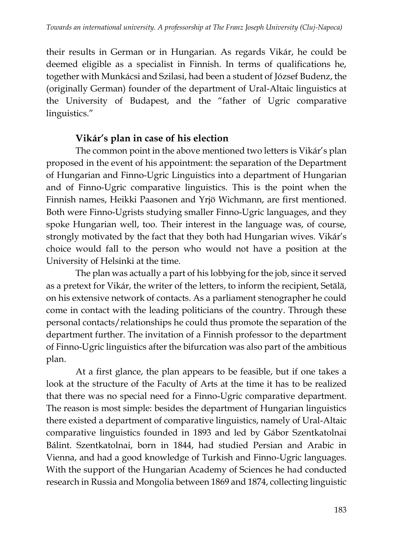their results in German or in Hungarian. As regards Vikár, he could be deemed eligible as a specialist in Finnish. In terms of qualifications he, together with Munkácsi and Szilasi, had been a student of József Budenz, the (originally German) founder of the department of Ural-Altaic linguistics at the University of Budapest, and the "father of Ugric comparative linguistics."

## **Vikár's plan in case of his election**

The common point in the above mentioned two letters is Vikár's plan proposed in the event of his appointment: the separation of the Department of Hungarian and Finno-Ugric Linguistics into a department of Hungarian and of Finno-Ugric comparative linguistics. This is the point when the Finnish names, Heikki Paasonen and Yrjö Wichmann, are first mentioned. Both were Finno-Ugrists studying smaller Finno-Ugric languages, and they spoke Hungarian well, too. Their interest in the language was, of course, strongly motivated by the fact that they both had Hungarian wives. Vikár's choice would fall to the person who would not have a position at the University of Helsinki at the time.

The plan was actually a part of his lobbying for the job, since it served as a pretext for Vikár, the writer of the letters, to inform the recipient, Setälä, on his extensive network of contacts. As a parliament stenographer he could come in contact with the leading politicians of the country. Through these personal contacts/relationships he could thus promote the separation of the department further. The invitation of a Finnish professor to the department of Finno-Ugric linguistics after the bifurcation was also part of the ambitious plan.

At a first glance, the plan appears to be feasible, but if one takes a look at the structure of the Faculty of Arts at the time it has to be realized that there was no special need for a Finno-Ugric comparative department. The reason is most simple: besides the department of Hungarian linguistics there existed a department of comparative linguistics, namely of Ural-Altaic comparative linguistics founded in 1893 and led by Gábor Szentkatolnai Bálint. Szentkatolnai, born in 1844, had studied Persian and Arabic in Vienna, and had a good knowledge of Turkish and Finno-Ugric languages. With the support of the Hungarian Academy of Sciences he had conducted research in Russia and Mongolia between 1869 and 1874, collecting linguistic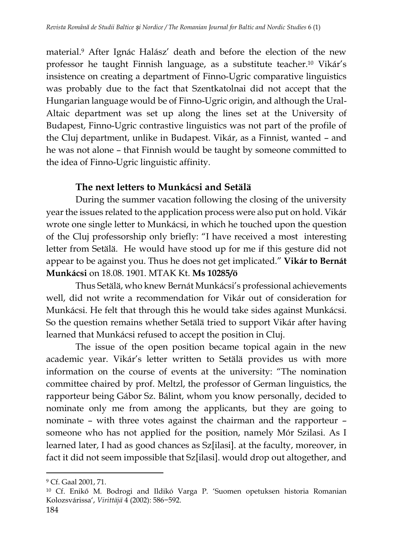material.<sup>9</sup> After Ignác Halász' death and before the election of the new professor he taught Finnish language, as a substitute teacher.<sup>10</sup> Vikár's insistence on creating a department of Finno-Ugric comparative linguistics was probably due to the fact that Szentkatolnai did not accept that the Hungarian language would be of Finno-Ugric origin, and although the Ural-Altaic department was set up along the lines set at the University of Budapest, Finno-Ugric contrastive linguistics was not part of the profile of the Cluj department, unlike in Budapest. Vikár, as a Finnist, wanted – and he was not alone – that Finnish would be taught by someone committed to the idea of Finno-Ugric linguistic affinity.

#### **The next letters to Munkácsi and Setälä**

During the summer vacation following the closing of the university year the issues related to the application process were also put on hold. Vikár wrote one single letter to Munkácsi, in which he touched upon the question of the Cluj professorship only briefly: "I have received a most interesting letter from Setälä. He would have stood up for me if this gesture did not appear to be against you. Thus he does not get implicated." **Vikár to Bernát Munkácsi** on 18.08. 1901. MTAK Kt. **Ms 10285/ö**

Thus Setälä, who knew Bernát Munkácsi's professional achievements well, did not write a recommendation for Vikár out of consideration for Munkácsi. He felt that through this he would take sides against Munkácsi. So the question remains whether Setälä tried to support Vikár after having learned that Munkácsi refused to accept the position in Cluj.

The issue of the open position became topical again in the new academic year. Vikár's letter written to Setälä provides us with more information on the course of events at the university: "The nomination committee chaired by prof. Meltzl, the professor of German linguistics, the rapporteur being Gábor Sz. Bálint, whom you know personally, decided to nominate only me from among the applicants, but they are going to nominate – with three votes against the chairman and the rapporteur – someone who has not applied for the position, namely Mór Szilasi. As I learned later, I had as good chances as Sz[ilasi]. at the faculty, moreover, in fact it did not seem impossible that Sz[ilasi]. would drop out altogether, and

<sup>9</sup> Cf. Gaal 2001, 71.

<sup>10</sup> Cf. Enikő M. Bodrogi and Ildikó Varga P. 'Suomen opetuksen historia Romanian Kolozsvárissa', *Virittäjä* 4 (2002): 586−592.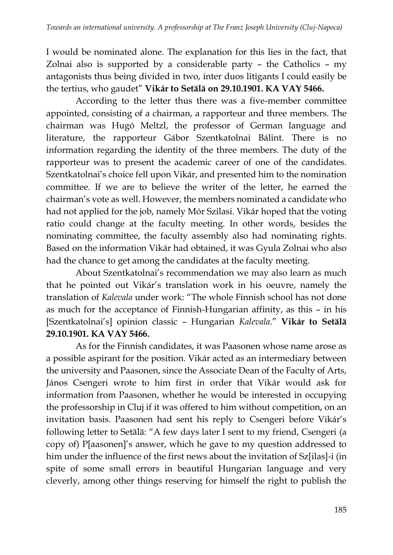I would be nominated alone. The explanation for this lies in the fact, that Zolnai also is supported by a considerable party – the Catholics – my antagonists thus being divided in two, inter duos litigants I could easily be the tertius, who gaudet" **Vikár to Setälä on 29.10.1901. KA VAY 5466.**

According to the letter thus there was a five-member committee appointed, consisting of a chairman, a rapporteur and three members. The chairman was Hugó Meltzl, the professor of German language and literature, the rapporteur Gábor Szentkatolnai Bálint. There is no information regarding the identity of the three members. The duty of the rapporteur was to present the academic career of one of the candidates. Szentkatolnai's choice fell upon Vikár, and presented him to the nomination committee. If we are to believe the writer of the letter, he earned the chairman's vote as well. However, the members nominated a candidate who had not applied for the job, namely Mór Szilasi. Vikár hoped that the voting ratio could change at the faculty meeting. In other words, besides the nominating committee, the faculty assembly also had nominating rights. Based on the information Vikár had obtained, it was Gyula Zolnai who also had the chance to get among the candidates at the faculty meeting.

About Szentkatolnai's recommendation we may also learn as much that he pointed out Vikár's translation work in his oeuvre, namely the translation of *Kalevala* under work: "The whole Finnish school has not done as much for the acceptance of Finnish-Hungarian affinity, as this – in his [Szentkatolnai's] opinion classic – Hungarian *Kalevala*." **Vikár to Setälä 29.10.1901. KA VAY 5466.**

As for the Finnish candidates, it was Paasonen whose name arose as a possible aspirant for the position. Vikár acted as an intermediary between the university and Paasonen, since the Associate Dean of the Faculty of Arts, János Csengeri wrote to him first in order that Vikár would ask for information from Paasonen, whether he would be interested in occupying the professorship in Cluj if it was offered to him without competition, on an invitation basis. Paasonen had sent his reply to Csengeri before Vikár's following letter to Setälä: "A few days later I sent to my friend, Csengeri (a copy of) P[aasonen]'s answer, which he gave to my question addressed to him under the influence of the first news about the invitation of Sz[ilas]-i (in spite of some small errors in beautiful Hungarian language and very cleverly, among other things reserving for himself the right to publish the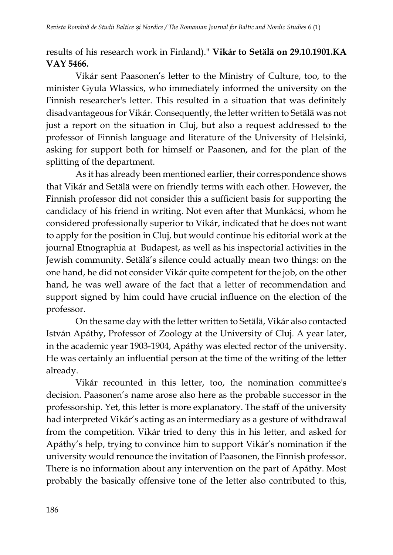results of his research work in Finland)." **Vikár to Setälä on 29.10.1901.KA VAY 5466.**

Vikár sent Paasonen's letter to the Ministry of Culture, too, to the minister Gyula Wlassics, who immediately informed the university on the Finnish researcher's letter. This resulted in a situation that was definitely disadvantageous for Vikár. Consequently, the letter written to Setälä was not just a report on the situation in Cluj, but also a request addressed to the professor of Finnish language and literature of the University of Helsinki, asking for support both for himself or Paasonen, and for the plan of the splitting of the department.

As it has already been mentioned earlier, their correspondence shows that Vikár and Setälä were on friendly terms with each other. However, the Finnish professor did not consider this a sufficient basis for supporting the candidacy of his friend in writing. Not even after that Munkácsi, whom he considered professionally superior to Vikár, indicated that he does not want to apply for the position in Cluj, but would continue his editorial work at the journal Etnographia at Budapest, as well as his inspectorial activities in the Jewish community. Setälä's silence could actually mean two things: on the one hand, he did not consider Vikár quite competent for the job, on the other hand, he was well aware of the fact that a letter of recommendation and support signed by him could have crucial influence on the election of the professor.

On the same day with the letter written to Setälä, Vikár also contacted István Apáthy, Professor of Zoology at the University of Cluj. A year later, in the academic year 1903-1904, Apáthy was elected rector of the university. He was certainly an influential person at the time of the writing of the letter already.

Vikár recounted in this letter, too, the nomination committee's decision. Paasonen's name arose also here as the probable successor in the professorship. Yet, this letter is more explanatory. The staff of the university had interpreted Vikár's acting as an intermediary as a gesture of withdrawal from the competition. Vikár tried to deny this in his letter, and asked for Apáthy's help, trying to convince him to support Vikár's nomination if the university would renounce the invitation of Paasonen, the Finnish professor. There is no information about any intervention on the part of Apáthy. Most probably the basically offensive tone of the letter also contributed to this,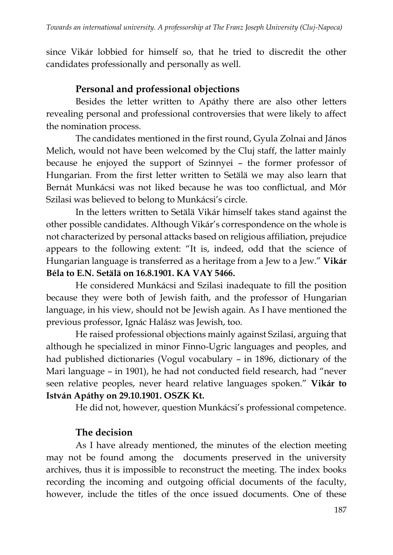since Vikár lobbied for himself so, that he tried to discredit the other candidates professionally and personally as well.

## **Personal and professional objections**

Besides the letter written to Apáthy there are also other letters revealing personal and professional controversies that were likely to affect the nomination process.

The candidates mentioned in the first round, Gyula Zolnai and János Melich, would not have been welcomed by the Cluj staff, the latter mainly because he enjoyed the support of Szinnyei – the former professor of Hungarian. From the first letter written to Setälä we may also learn that Bernát Munkácsi was not liked because he was too conflictual, and Mór Szilasi was believed to belong to Munkácsi's circle.

In the letters written to Setälä Vikár himself takes stand against the other possible candidates. Although Vikár's correspondence on the whole is not characterized by personal attacks based on religious affiliation, prejudice appears to the following extent: "It is, indeed, odd that the science of Hungarian language is transferred as a heritage from a Jew to a Jew." **Vikár Béla to E.N. Setälä on 16.8.1901. KA VAY 5466.**

He considered Munkácsi and Szilasi inadequate to fill the position because they were both of Jewish faith, and the professor of Hungarian language, in his view, should not be Jewish again. As I have mentioned the previous professor, Ignác Halász was Jewish, too.

He raised professional objections mainly against Szilasi, arguing that although he specialized in minor Finno-Ugric languages and peoples, and had published dictionaries (Vogul vocabulary – in 1896, dictionary of the Mari language – in 1901), he had not conducted field research, had "never seen relative peoples, never heard relative languages spoken." **Vikár to István Apáthy on 29.10.1901. OSZK Kt.**

He did not, however, question Munkácsi's professional competence.

### **The decision**

As I have already mentioned, the minutes of the election meeting may not be found among the documents preserved in the university archives, thus it is impossible to reconstruct the meeting. The index books recording the incoming and outgoing official documents of the faculty, however, include the titles of the once issued documents. One of these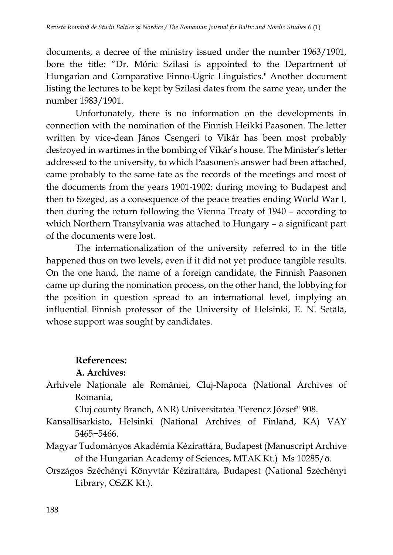documents, a decree of the ministry issued under the number 1963/1901, bore the title: "Dr. Móric Szilasi is appointed to the Department of Hungarian and Comparative Finno-Ugric Linguistics." Another document listing the lectures to be kept by Szilasi dates from the same year, under the number 1983/1901.

Unfortunately, there is no information on the developments in connection with the nomination of the Finnish Heikki Paasonen. The letter written by vice-dean János Csengeri to Vikár has been most probably destroyed in wartimes in the bombing of Vikár's house. The Minister's letter addressed to the university, to which Paasonen's answer had been attached, came probably to the same fate as the records of the meetings and most of the documents from the years 1901-1902: during moving to Budapest and then to Szeged, as a consequence of the peace treaties ending World War I, then during the return following the Vienna Treaty of 1940 – according to which Northern Transylvania was attached to Hungary – a significant part of the documents were lost.

The internationalization of the university referred to in the title happened thus on two levels, even if it did not yet produce tangible results. On the one hand, the name of a foreign candidate, the Finnish Paasonen came up during the nomination process, on the other hand, the lobbying for the position in question spread to an international level, implying an influential Finnish professor of the University of Helsinki, E. N. Setälä, whose support was sought by candidates.

#### **References:**

#### **A. Archives:**

Arhivele Naționale ale României, Cluj-Napoca (National Archives of Romania,

Cluj county Branch, ANR) Universitatea "Ferencz József" 908.

- Kansallisarkisto, Helsinki (National Archives of Finland, KA) VAY 5465−5466.
- Magyar Tudományos Akadémia Kézirattára, Budapest (Manuscript Archive of the Hungarian Academy of Sciences, MTAK Kt.) Ms 10285/ö.
- Országos Széchényi Könyvtár Kézirattára, Budapest (National Széchényi Library, OSZK Kt.).